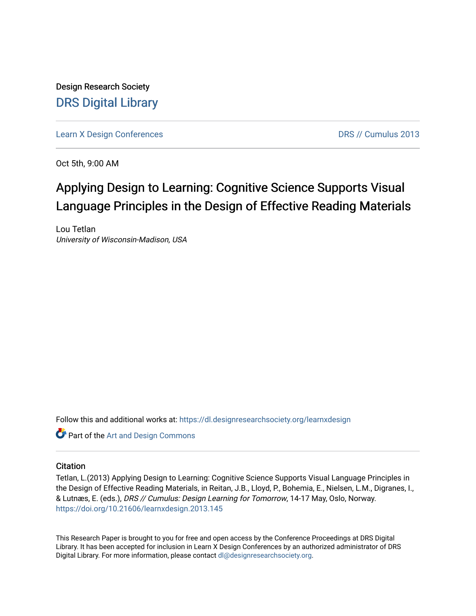Design Research Society [DRS Digital Library](https://dl.designresearchsociety.org/)

[Learn X Design Conferences](https://dl.designresearchsociety.org/learnxdesign) [DRS // Cumulus 2013](https://dl.designresearchsociety.org/learnxdesign/learnxdesign2013) 

Oct 5th, 9:00 AM

# Applying Design to Learning: Cognitive Science Supports Visual Language Principles in the Design of Effective Reading Materials

Lou Tetlan University of Wisconsin-Madison, USA

Follow this and additional works at: [https://dl.designresearchsociety.org/learnxdesign](https://dl.designresearchsociety.org/learnxdesign?utm_source=dl.designresearchsociety.org%2Flearnxdesign%2Flearnxdesign2013%2Fresearchpapers%2F143&utm_medium=PDF&utm_campaign=PDFCoverPages)

Part of the [Art and Design Commons](http://network.bepress.com/hgg/discipline/1049?utm_source=dl.designresearchsociety.org%2Flearnxdesign%2Flearnxdesign2013%2Fresearchpapers%2F143&utm_medium=PDF&utm_campaign=PDFCoverPages)

### **Citation**

Tetlan, L.(2013) Applying Design to Learning: Cognitive Science Supports Visual Language Principles in the Design of Effective Reading Materials, in Reitan, J.B., Lloyd, P., Bohemia, E., Nielsen, L.M., Digranes, I., & Lutnæs, E. (eds.), DRS // Cumulus: Design Learning for Tomorrow, 14-17 May, Oslo, Norway. <https://doi.org/10.21606/learnxdesign.2013.145>

This Research Paper is brought to you for free and open access by the Conference Proceedings at DRS Digital Library. It has been accepted for inclusion in Learn X Design Conferences by an authorized administrator of DRS Digital Library. For more information, please contact [dl@designresearchsociety.org](mailto:dl@designresearchsociety.org).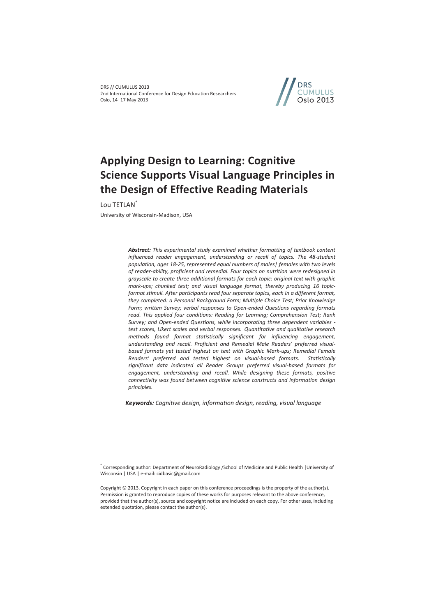

# **Applying Design to Learning: Cognitive Science Supports Visual Language Principles in the Design of Effective Reading Materials**

Lou TETLAN\*

 $\overline{a}$ 

University of Wisconsin-Madison, USA

*Abstract: This experimental study examined whether formatting of textbook content influenced reader engagement, understanding or recall of topics. The 48-student population, ages 18-25, represented equal numbers of males| females with two levels of reader-ability, proficient and remedial. Four topics on nutrition were redesigned in grayscale to create three additional formats for each topic: original text with graphic mark-ups; chunked text; and visual language format, thereby producing 16 topicformat stimuli. After participants read four separate topics, each in a different format, they completed: a Personal Background Form; Multiple Choice Test; Prior Knowledge Form; written Survey; verbal responses to Open-ended Questions regarding formats read. This applied four conditions: Reading for Learning; Comprehension Test; Rank Survey; and Open-ended Questions, while incorporating three dependent variables test scores, Likert scales and verbal responses. Quantitative and qualitative research methods found format statistically significant for influencing engagement, understanding and recall. Proficient and Remedial Male Readers' preferred visual*based formats yet tested highest on text with Graphic Mark-ups; Remedial Female *Readers' preferred and tested highest on visual-based formats. Statistically significant data indicated all Reader Groups preferred visual-based formats for engagement, understanding and recall. While designing these formats, positive connectivity was found between cognitive science constructs and information design principles.* 

*Keywords: Cognitive design, information design, reading, visual language*

<sup>\*</sup> Corresponding author: Department of NeuroRadiology /School of Medicine and Public Health |University of Wisconsin | USA | e-mail: cidbasic@gmail.com

Copyright © 2013. Copyright in each paper on this conference proceedings is the property of the author(s). Permission is granted to reproduce copies of these works for purposes relevant to the above conference, provided that the author(s), source and copyright notice are included on each copy. For other uses, including extended quotation, please contact the author(s).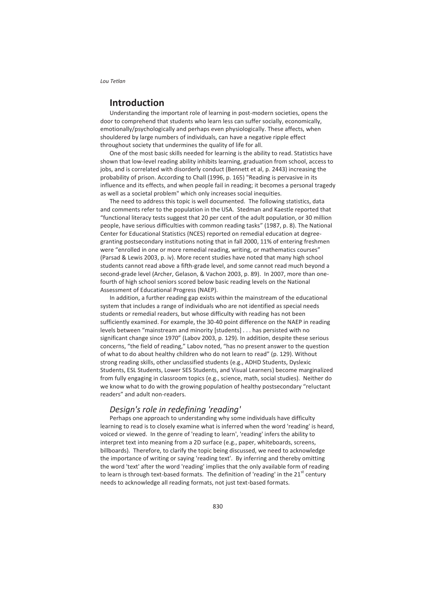## **Introduction**

Understanding the important role of learning in post-modern societies, opens the door to comprehend that students who learn less can suffer socially, economically, emotionally/psychologically and perhaps even physiologically. These affects, when shouldered by large numbers of individuals, can have a negative ripple effect throughout society that undermines the quality of life for all.

One of the most basic skills needed for learning is the ability to read. Statistics have shown that low-level reading ability inhibits learning, graduation from school, access to jobs, and is correlated with disorderly conduct (Bennett et al, p. 2443) increasing the probability of prison. According to Chall (1996, p. 165) "Reading is pervasive in its influence and its effects, and when people fail in reading; it becomes a personal tragedy as well as a societal problem" which only increases social inequities.

The need to address this topic is well documented. The following statistics, data and comments refer to the population in the USA. Stedman and Kaestle reported that "functional literacy tests suggest that 20 per cent of the adult population, or 30 million people, have serious difficulties with common reading tasks" (1987, p. 8). The National Center for Educational Statistics (NCES) reported on remedial education at degreegranting postsecondary institutions noting that in fall 2000, 11% of entering freshmen were "enrolled in one or more remedial reading, writing, or mathematics courses" (Parsad & Lewis 2003, p. iv). More recent studies have noted that many high school students cannot read above a fifth-grade level, and some cannot read much beyond a second-grade level (Archer, Gelason, & Vachon 2003, p. 89). In 2007, more than onefourth of high school seniors scored below basic reading levels on the National Assessment of Educational Progress (NAEP).

In addition, a further reading gap exists within the mainstream of the educational system that includes a range of individuals who are not identified as special needs students or remedial readers, but whose difficulty with reading has not been sufficiently examined. For example, the 30-40 point difference on the NAEP in reading levels between "mainstream and minority [students] . . . has persisted with no significant change since 1970" (Labov 2003, p. 129). In addition, despite these serious concerns, "the field of reading," Labov noted, "has no present answer to the question of what to do about healthy children who do not learn to read" (p. 129). Without strong reading skills, other unclassified students (e.g., ADHD Students, Dyslexic Students, ESL Students, Lower SES Students, and Visual Learners) become marginalized from fully engaging in classroom topics (e.g., science, math, social studies). Neither do we know what to do with the growing population of healthy postsecondary "reluctant readers" and adult non-readers.

### *Design's role in redefining 'reading'*

Perhaps one approach to understanding why some individuals have difficulty learning to read is to closely examine what is inferred when the word 'reading' is heard, voiced or viewed. In the genre of 'reading to learn', 'reading' infers the ability to interpret text into meaning from a 2D surface (e.g., paper, whiteboards, screens, billboards). Therefore, to clarify the topic being discussed, we need to acknowledge the importance of writing or saying 'reading text'. By inferring and thereby omitting the word 'text' after the word 'reading' implies that the only available form of reading to learn is through text-based formats. The definition of 'reading' in the 21 $^{\rm st}$  century needs to acknowledge all reading formats, not just text-based formats.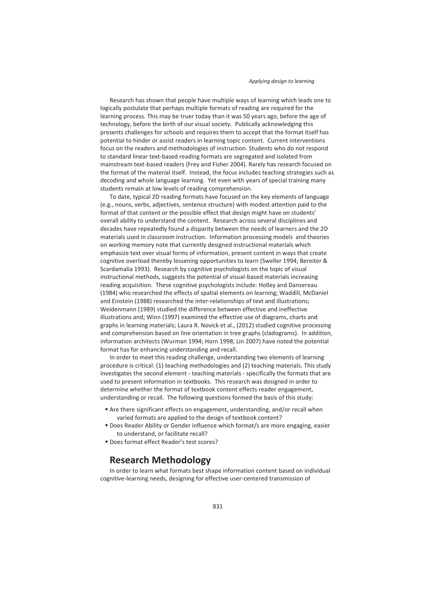Research has shown that people have multiple ways of learning which leads one to logically postulate that perhaps multiple formats of reading are required for the learning process. This may be truer today than it was 50 years ago, before the age of technology, before the birth of our visual society. Publically acknowledging this presents challenges for schools and requires them to accept that the format itself has potential to hinder or assist readers in learning topic content. Current interventions focus on the readers and methodologies of instruction. Students who do not respond to standard linear text-based reading formats are segregated and isolated from mainstream text-based readers (Frey and Fisher 2004). Rarely has research focused on the format of the material itself. Instead, the focus includes teaching strategies such as decoding and whole language learning. Yet even with years of special training many students remain at low levels of reading comprehension.

To date, typical 2D reading formats have focused on the key elements of language (e.g., nouns, verbs, adjectives, sentence structure) with modest attention paid to the format of that content or the possible effect that design might have on students' overall ability to understand the content. Research across several disciplines and decades have repeatedly found a disparity between the needs of learners and the 2D materials used in classroom instruction. Information processing models and theories on working memory note that currently designed instructional materials which emphasize text over visual forms of information, present content in ways that create cognitive overload thereby lessening opportunities to learn (Sweller 1994; Bereiter & Scardamalia 1993). Research by cognitive psychologists on the topic of visual instructional methods, suggests the potential of visual-based materials increasing reading acquisition. These cognitive psychologists include: Holley and Dansereau (1984) who researched the effects of spatial elements on learning; Waddill, McDaniel and Einstein (1988) researched the inter-relationships of text and illustrations; Weidenmann (1989) studied the difference between effective and ineffective illustrations and; Winn (1997) examined the effective use of diagrams, charts and graphs in learning materials; Laura R. Novick et al., (2012) studied cognitive processing and comprehension based on line orientation in tree graphs (cladograms). In addition, information architects (Wurman 1994; Horn 1998; Lin 2007) have noted the potential format has for enhancing understanding and recall.

In order to meet this reading challenge, understanding two elements of learning procedure is critical: (1) teaching methodologies and (2) teaching materials. This study investigates the second element - teaching materials - specifically the formats that are used to present information in textbooks. This research was designed in order to determine whether the format of textbook content effects reader engagement, understanding or recall. The following questions formed the basis of this study:

- Are there significant effects on engagement, understanding, and/or recall when varied formats are applied to the design of textbook content?
- **Does Reader Ability or Gender influence which format/s are more engaging, easier** to understand, or facilitate recall?
- Does format effect Reader's test scores?

## **Research Methodology**

In order to learn what formats best shape information content based on individual cognitive-learning needs, designing for effective user-centered transmission of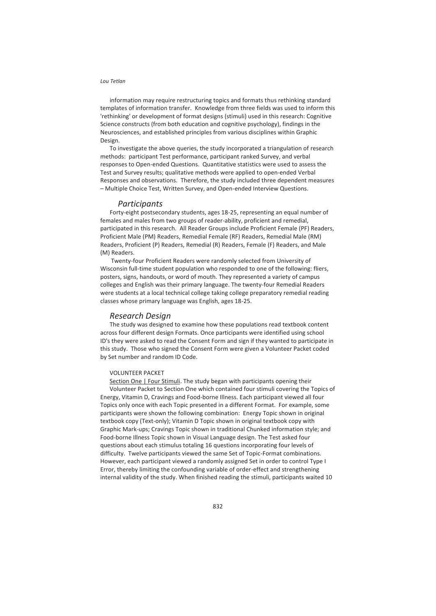information may require restructuring topics and formats thus rethinking standard templates of information transfer. Knowledge from three fields was used to inform this 'rethinking' or development of format designs (stimuli) used in this research: Cognitive Science constructs (from both education and cognitive psychology), findings in the Neurosciences, and established principles from various disciplines within Graphic Design.

To investigate the above queries, the study incorporated a triangulation of research methods: participant Test performance, participant ranked Survey, and verbal responses to Open-ended Questions. Quantitative statistics were used to assess the Test and Survey results; qualitative methods were applied to open-ended Verbal Responses and observations. Therefore, the study included three dependent measures – Multiple Choice Test, Written Survey, and Open-ended Interview Questions.

### *Participants*

Forty-eight postsecondary students, ages 18-25, representing an equal number of females and males from two groups of reader-ability, proficient and remedial, participated in this research. All Reader Groups include Proficient Female (PF) Readers, Proficient Male (PM) Readers, Remedial Female (RF) Readers, Remedial Male (RM) Readers, Proficient (P) Readers, Remedial (R) Readers, Female (F) Readers, and Male (M) Readers.

 Twenty-four Proficient Readers were randomly selected from University of Wisconsin full-time student population who responded to one of the following: fliers, posters, signs, handouts, or word of mouth. They represented a variety of campus colleges and English was their primary language. The twenty-four Remedial Readers were students at a local technical college taking college preparatory remedial reading classes whose primary language was English, ages 18-25.

#### *Research Design*

The study was designed to examine how these populations read textbook content across four different design Formats. Once participants were identified using school ID's they were asked to read the Consent Form and sign if they wanted to participate in this study. Those who signed the Consent Form were given a Volunteer Packet coded by Set number and random ID Code.

#### VOLUNTEER PACKET

Section One | Four Stimuli. The study began with participants opening their Volunteer Packet to Section One which contained four stimuli covering the Topics of Energy, Vitamin D, Cravings and Food-borne Illness. Each participant viewed all four Topics only once with each Topic presented in a different Format. For example, some participants were shown the following combination: Energy Topic shown in original textbook copy (Text-only); Vitamin D Topic shown in original textbook copy with Graphic Mark-ups; Cravings Topic shown in traditional Chunked information style; and Food-borne Illness Topic shown in Visual Language design. The Test asked four questions about each stimulus totaling 16 questions incorporating four levels of difficulty. Twelve participants viewed the same Set of Topic-Format combinations. However, each participant viewed a randomly assigned Set in order to control Type I Error, thereby limiting the confounding variable of order-effect and strengthening internal validity of the study. When finished reading the stimuli, participants waited 10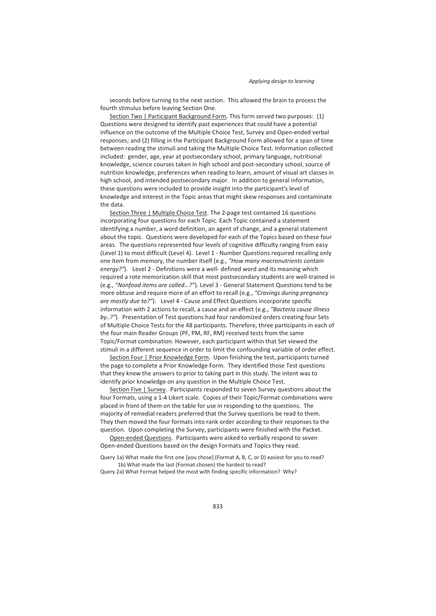seconds before turning to the next section. This allowed the brain to process the fourth stimulus before leaving Section One.

Section Two | Participant Background Form. This form served two purposes: (1) Questions were designed to identify past experiences that could have a potential influence on the outcome of the Multiple Choice Test, Survey and Open-ended verbal responses; and (2) filling in the Participant Background Form allowed for a span of time between reading the stimuli and taking the Multiple Choice Test. Information collected included: gender, age, year at postsecondary school, primary language, nutritional knowledge, science courses taken in high school and post-secondary school, source of nutrition knowledge, preferences when reading to learn, amount of visual art classes in high school, and intended postsecondary major. In addition to general information, these questions were included to provide insight into the participant's level of knowledge and interest in the Topic areas that might skew responses and contaminate the data.

Section Three | Multiple Choice Test. The 2-page test contained 16 questions incorporating four questions for each Topic. Each Topic contained a statement identifying a number, a word definition, an agent of change, and a general statement about the topic. Questions were developed for each of the Topics based on these four areas. The questions represented four levels of cognitive difficulty ranging from easy (Level 1) to most difficult (Level 4). Level 1 - Number Questions required recalling only one item from memory, the number itself (e.g., *"How many macronutrients contain energy?"*). Level 2 - Definitions were a well- defined word and its meaning which required a rote memorization skill that most postsecondary students are well-trained in (e.g., *"Nonfood items are called…?"*). Level 3 - General Statement Questions tend to be more obtuse and require more of an effort to recall (e.g., *"Cravings during pregnancy are mostly due to?"*). Level 4 - Cause and Effect Questions incorporate specific information with 2 actions to recall, a cause and an effect (e.g., *"Bacteria cause illness by..?"*). Presentation of Test questions had four randomized orders creating four Sets of Multiple Choice Tests for the 48 participants. Therefore, three participants in each of the four main Reader Groups (PF, PM, RF, RM) received tests from the same Topic/Format combination. However, each participant within that Set viewed the stimuli in a different sequence in order to limit the confounding variable of order effect.

Section Four | Prior Knowledge Form. Upon finishing the test, participants turned the page to complete a Prior Knowledge Form. They identified those Test questions that they knew the answers to prior to taking part in this study. The intent was to identify prior knowledge on any question in the Multiple Choice Test.

Section Five | Survey. Participants responded to seven Survey questions about the four Formats, using a 1-4 Likert scale. Copies of their Topic/Format combinations were placed in front of them on the table for use in responding to the questions. The majority of remedial readers preferred that the Survey questions be read to them. They then moved the four formats into rank order according to their responses to the question. Upon completing the Survey, participants were finished with the Packet.

Open-ended Questions. Participants were asked to verbally respond to seven Open-ended Questions based on the design Formats and Topics they read.

Query 1a) What made the first one [you chose] (Format A, B, C, or D) easiest for you to read? 1b) What made the last (Format chosen) the hardest to read?

Query 2a) What Format helped the most with finding specific information? Why?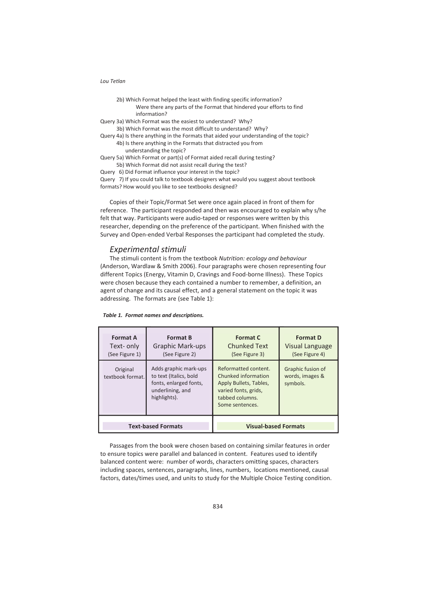- 2b) Which Format helped the least with finding specific information? Were there any parts of the Format that hindered your efforts to find information?
- Query 3a) Which Format was the easiest to understand? Why? 3b) Which Format was the most difficult to understand? Why?
- Query 4a) Is there anything in the Formats that aided your understanding of the topic?
	- 4b) Is there anything in the Formats that distracted you from understanding the topic?
- Query 5a) Which Format or part(s) of Format aided recall during testing?
- 5b) Which Format did not assist recall during the test?
- Query 6) Did Format influence your interest in the topic?

Query 7) If you could talk to textbook designers what would you suggest about textbook formats? How would you like to see textbooks designed?

Copies of their Topic/Format Set were once again placed in front of them for reference. The participant responded and then was encouraged to explain why s/he felt that way. Participants were audio-taped or responses were written by this researcher, depending on the preference of the participant. When finished with the Survey and Open-ended Verbal Responses the participant had completed the study.

### *Experimental stimuli*

The stimuli content is from the textbook *Nutrition: ecology and behaviour* (Anderson, Wardlaw & Smith 2006). Four paragraphs were chosen representing four different Topics (Energy, Vitamin D, Cravings and Food-borne Illness). These Topics were chosen because they each contained a number to remember, a definition, an agent of change and its causal effect, and a general statement on the topic it was addressing. The formats are (see Table 1):

#### *Table 1. Format names and descriptions.*

| <b>Format A</b><br>Text- only<br>(See Figure 1) | <b>Format B</b><br><b>Graphic Mark-ups</b><br>(See Figure 2)                                                  | <b>Format C</b><br><b>Chunked Text</b><br>(See Figure 3)                                                                            | <b>Format D</b><br>Visual Language<br>(See Figure 4) |
|-------------------------------------------------|---------------------------------------------------------------------------------------------------------------|-------------------------------------------------------------------------------------------------------------------------------------|------------------------------------------------------|
| Original<br>textbook format.                    | Adds graphic mark-ups<br>to text (Italics, bold<br>fonts, enlarged fonts,<br>underlining, and<br>highlights). | Reformatted content.<br>Chunked information<br>Apply Bullets, Tables,<br>varied fonts, grids,<br>tabbed columns.<br>Some sentences. | Graphic fusion of<br>words, images &<br>symbols.     |
| <b>Text-based Formats</b>                       |                                                                                                               | <b>Visual-based Formats</b>                                                                                                         |                                                      |

Passages from the book were chosen based on containing similar features in order to ensure topics were parallel and balanced in content. Features used to identify balanced content were: number of words, characters omitting spaces, characters including spaces, sentences, paragraphs, lines, numbers, locations mentioned, causal factors, dates/times used, and units to study for the Multiple Choice Testing condition.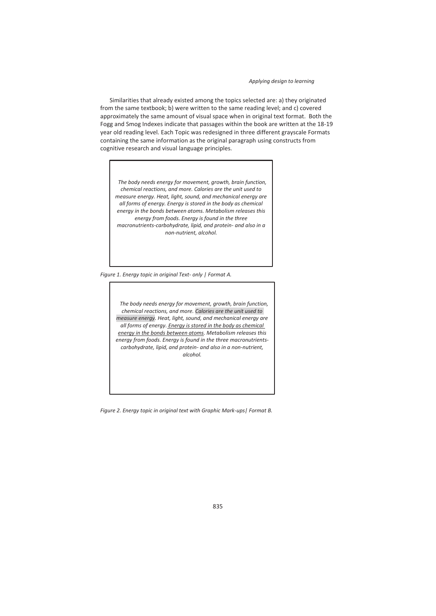Similarities that already existed among the topics selected are: a) they originated from the same textbook; b) were written to the same reading level; and c) covered approximately the same amount of visual space when in original text format. Both the Fogg and Smog Indexes indicate that passages within the book are written at the 18-19 year old reading level. Each Topic was redesigned in three different grayscale Formats containing the same information as the original paragraph using constructs from cognitive research and visual language principles.

 *The body needs energy for movement, growth, brain function, chemical reactions, and more. Calories are the unit used to measure energy. Heat, light, sound, and mechanical energy are all forms of energy. Energy is stored in the body as chemical energy in the bonds between atoms. Metabolism releases this energy from foods. Energy is found in the three macronutrients-carbohydrate, lipid, and protein- and also in a non-nutrient, alcohol.* 

*Figure 1. Energy topic in original Text- only | Format A.* 

 *The body needs energy for movement, growth, brain function, chemical reactions, and more. Calories are the unit used to measure energy. Heat, light, sound, and mechanical energy are all forms of energy. Energy is stored in the body as chemical energy in the bonds between atoms. Metabolism releases this energy from foods. Energy is found in the three macronutrientscarbohydrate, lipid, and protein- and also in a non-nutrient, alcohol.* 

*Figure 2. Energy topic in original text with Graphic Mark-ups| Format B.*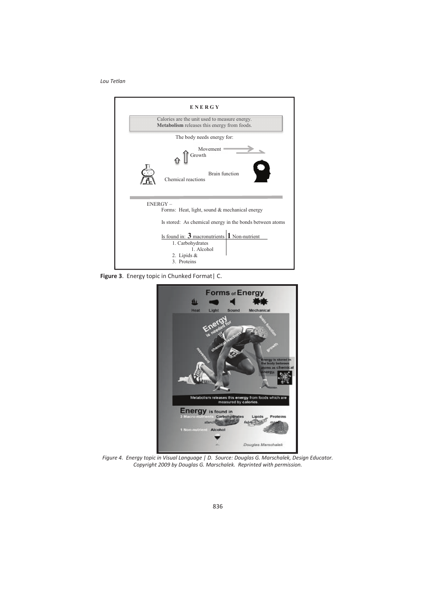

**Figure 3**. Energy topic in Chunked Format| C.



*Figure 4. Energy topic in Visual Language | D. Source: Douglas G. Marschalek, Design Educator. Copyright 2009 by Douglas G. Marschalek. Reprinted with permission.*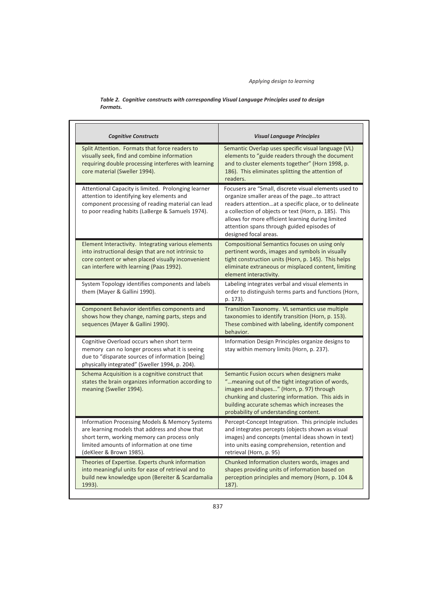*Table 2. Cognitive constructs with corresponding Visual Language Principles used to design Formats.* 

| <b>Cognitive Constructs</b>                                                                                                                                                                                              | <b>Visual Language Principles</b>                                                                                                                                                                                                                                                                                                                  |  |
|--------------------------------------------------------------------------------------------------------------------------------------------------------------------------------------------------------------------------|----------------------------------------------------------------------------------------------------------------------------------------------------------------------------------------------------------------------------------------------------------------------------------------------------------------------------------------------------|--|
| Split Attention. Formats that force readers to<br>visually seek, find and combine information<br>requiring double processing interferes with learning<br>core material (Sweller 1994).                                   | Semantic Overlap uses specific visual language (VL)<br>elements to "guide readers through the document<br>and to cluster elements together" (Horn 1998, p.<br>186). This eliminates splitting the attention of<br>readers.                                                                                                                         |  |
| Attentional Capacity is limited. Prolonging learner<br>attention to identifying key elements and<br>component processing of reading material can lead<br>to poor reading habits (LaBerge & Samuels 1974).                | Focusers are "Small, discrete visual elements used to<br>organize smaller areas of the pageto attract<br>readers attentionat a specific place, or to delineate<br>a collection of objects or text (Horn, p. 185). This<br>allows for more efficient learning during limited<br>attention spans through guided episodes of<br>designed focal areas. |  |
| Element Interactivity. Integrating various elements<br>into instructional design that are not intrinsic to<br>core content or when placed visually inconvenient<br>can interfere with learning (Paas 1992).              | Compositional Semantics focuses on using only<br>pertinent words, images and symbols in visually<br>tight construction units (Horn, p. 145). This helps<br>eliminate extraneous or misplaced content, limiting<br>element interactivity.                                                                                                           |  |
| System Topology identifies components and labels<br>them (Mayer & Gallini 1990).                                                                                                                                         | Labeling integrates verbal and visual elements in<br>order to distinguish terms parts and functions (Horn,<br>p. 173).                                                                                                                                                                                                                             |  |
| Component Behavior identifies components and<br>shows how they change, naming parts, steps and<br>sequences (Mayer & Gallini 1990).                                                                                      | Transition Taxonomy. VL semantics use multiple<br>taxonomies to identify transition (Horn, p. 153).<br>These combined with labeling, identify component<br>behavior.                                                                                                                                                                               |  |
| Cognitive Overload occurs when short term<br>memory can no longer process what it is seeing<br>due to "disparate sources of information [being]<br>physically integrated" (Sweller 1994, p. 204).                        | Information Design Principles organize designs to<br>stay within memory limits (Horn, p. 237).                                                                                                                                                                                                                                                     |  |
| Schema Acquisition is a cognitive construct that<br>states the brain organizes information according to<br>meaning (Sweller 1994).                                                                                       | Semantic Fusion occurs when designers make<br>"meaning out of the tight integration of words,<br>images and shapes" (Horn, p. 97) through<br>chunking and clustering information. This aids in<br>building accurate schemas which increases the<br>probability of understanding content.                                                           |  |
| Information Processing Models & Memory Systems<br>are learning models that address and show that<br>short term, working memory can process only<br>limited amounts of information at one time<br>(deKleer & Brown 1985). | Percept-Concept Integration. This principle includes<br>and integrates percepts (objects shown as visual<br>images) and concepts (mental ideas shown in text)<br>into units easing comprehension, retention and<br>retrieval (Horn, p. 95)                                                                                                         |  |
| Theories of Expertise. Experts chunk information<br>into meaningful units for ease of retrieval and to<br>build new knowledge upon (Bereiter & Scardamalia<br>1993).                                                     | Chunked Information clusters words, images and<br>shapes providing units of information based on<br>perception principles and memory (Horn, p. 104 &<br>187).                                                                                                                                                                                      |  |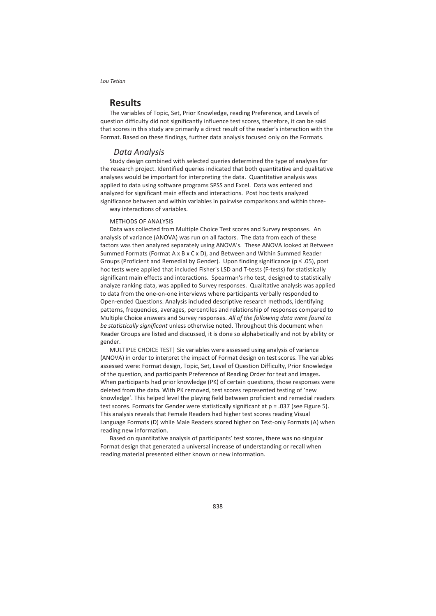### **Results**

The variables of Topic, Set, Prior Knowledge, reading Preference, and Levels of question difficulty did not significantly influence test scores, therefore, it can be said that scores in this study are primarily a direct result of the reader's interaction with the Format. Based on these findings, further data analysis focused only on the Formats.

### *Data Analysis*

Study design combined with selected queries determined the type of analyses for the research project. Identified queries indicated that both quantitative and qualitative analyses would be important for interpreting the data. Quantitative analysis was applied to data using software programs SPSS and Excel. Data was entered and analyzed for significant main effects and interactions. Post hoc tests analyzed significance between and within variables in pairwise comparisons and within threeway interactions of variables.

METHODS OF ANALYSIS

Data was collected from Multiple Choice Test scores and Survey responses. An analysis of variance (ANOVA) was run on all factors. The data from each of these factors was then analyzed separately using ANOVA's. These ANOVA looked at Between Summed Formats (Format A x B x C x D), and Between and Within Summed Reader Groups (Proficient and Remedial by Gender). Upon finding significance ( $p \le 0.05$ ), post hoc tests were applied that included Fisher's LSD and T-tests (F-tests) for statistically significant main effects and interactions. Spearman's rho test, designed to statistically analyze ranking data, was applied to Survey responses. Qualitative analysis was applied to data from the one-on-one interviews where participants verbally responded to Open-ended Questions. Analysis included descriptive research methods, identifying patterns, frequencies, averages, percentiles and relationship of responses compared to Multiple Choice answers and Survey responses. *All of the following data were found to be statistically significant* unless otherwise noted. Throughout this document when Reader Groups are listed and discussed, it is done so alphabetically and not by ability or gender.

MULTIPLE CHOICE TEST| Six variables were assessed using analysis of variance (ANOVA) in order to interpret the impact of Format design on test scores. The variables assessed were: Format design, Topic, Set, Level of Question Difficulty, Prior Knowledge of the question, and participants Preference of Reading Order for text and images. When participants had prior knowledge (PK) of certain questions, those responses were deleted from the data. With PK removed, test scores represented testing of 'new knowledge'. This helped level the playing field between proficient and remedial readers test scores. Formats for Gender were statistically significant at  $p = .037$  (see Figure 5). This analysis reveals that Female Readers had higher test scores reading Visual Language Formats (D) while Male Readers scored higher on Text-only Formats (A) when reading new information.

Based on quantitative analysis of participants' test scores, there was no singular Format design that generated a universal increase of understanding or recall when reading material presented either known or new information.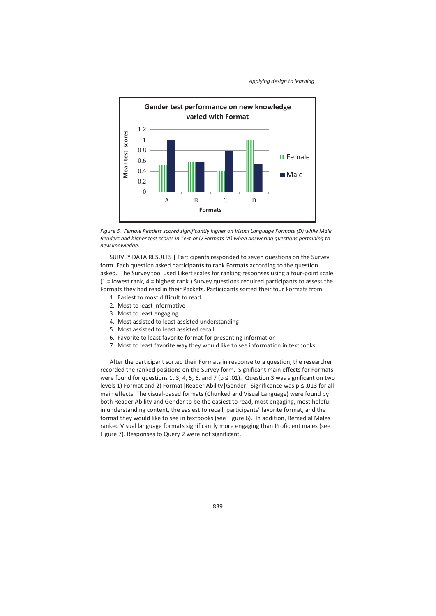

*Figure 5. Female Readers scored significantly higher on Visual Language Formats (D) while Male Readers had higher test scores in Text-only Formats (A) when answering questions pertaining to new knowledge.* 

SURVEY DATA RESULTS | Participants responded to seven questions on the Survey form. Each question asked participants to rank Formats according to the question asked. The Survey tool used Likert scales for ranking responses using a four-point scale.  $(1 =$  lowest rank,  $4 =$  highest rank.) Survey questions required participants to assess the Formats they had read in their Packets. Participants sorted their four Formats from:

- 1. Easiest to most difficult to read
- 2. Most to least informative
- 3. Most to least engaging
- 4. Most assisted to least assisted understanding
- 5. Most assisted to least assisted recall
- 6. Favorite to least favorite format for presenting information
- 7. Most to least favorite way they would like to see information in textbooks.

After the participant sorted their Formats in response to a question, the researcher recorded the ranked positions on the Survey form. Significant main effects for Formats were found for questions 1, 3, 4, 5, 6, and 7 ( $p \le 0.01$ ). Question 3 was significant on two levels 1) Format and 2) Format|Reader Ability|Gender. Significance was p ≤ .013 for all main effects. The visual-based formats (Chunked and Visual Language) were found by both Reader Ability and Gender to be the easiest to read, most engaging, most helpful in understanding content, the easiest to recall, participants' favorite format, and the format they would like to see in textbooks (see Figure 6). In addition, Remedial Males ranked Visual language formats significantly more engaging than Proficient males (see Figure 7). Responses to Query 2 were not significant.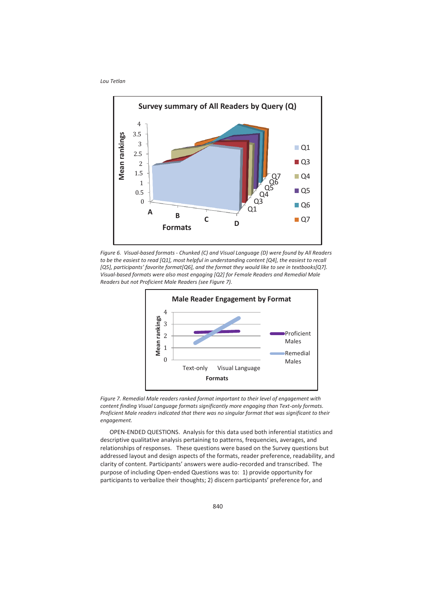

*Figure 6. Visual-based formats - Chunked (C) and Visual Language (D) were found by All Readers*  to be the easiest to read [Q1], most helpful in understanding content [Q4], the easiest to recall *[Q5], participants' favorite format[Q6], and the format they would like to see in textbooks[Q7]. Visual-based formats were also most engaging [Q2] for Female Readers and Remedial Male Readers but not Proficient Male Readers (see Figure 7).* 



*Figure 7. Remedial Male readers ranked format important to their level of engagement with content finding Visual Language formats significantly more engaging than Text-only formats. Proficient Male readers indicated that there was no singular format that was significant to their engagement.* 

OPEN-ENDED QUESTIONS. Analysis for this data used both inferential statistics and descriptive qualitative analysis pertaining to patterns, frequencies, averages, and relationships of responses. These questions were based on the Survey questions but addressed layout and design aspects of the formats, reader preference, readability, and clarity of content. Participants' answers were audio-recorded and transcribed. The purpose of including Open-ended Questions was to: 1) provide opportunity for participants to verbalize their thoughts; 2) discern participants' preference for, and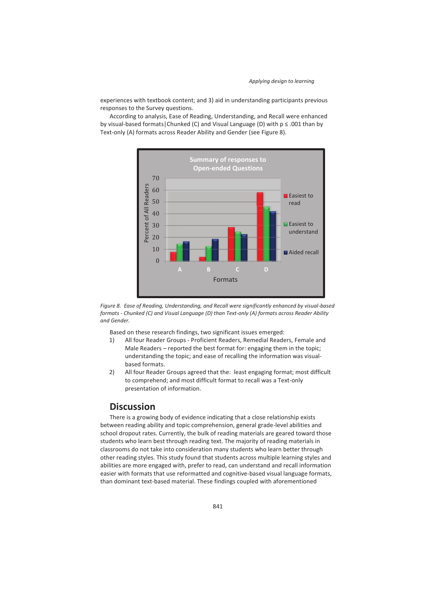experiences with textbook content; and 3) aid in understanding participants previous responses to the Survey questions.

According to analysis, Ease of Reading, Understanding, and Recall were enhanced by visual-based formats Chunked (C) and Visual Language (D) with  $p \leq .001$  than by Text-only (A) formats across Reader Ability and Gender (see Figure 8).





Based on these research findings, two significant issues emerged:

- 1) All four Reader Groups Proficient Readers, Remedial Readers, Female and Male Readers – reported the best format for: engaging them in the topic; understanding the topic; and ease of recalling the information was visualbased formats.
- 2) All four Reader Groups agreed that the: least engaging format; most difficult to comprehend; and most difficult format to recall was a Text-only presentation of information.

# **Discussion**

There is a growing body of evidence indicating that a close relationship exists between reading ability and topic comprehension, general grade-level abilities and school dropout rates. Currently, the bulk of reading materials are geared toward those students who learn best through reading text. The majority of reading materials in classrooms do not take into consideration many students who learn better through other reading styles. This study found that students across multiple learning styles and abilities are more engaged with, prefer to read, can understand and recall information easier with formats that use reformatted and cognitive-based visual language formats, than dominant text-based material. These findings coupled with aforementioned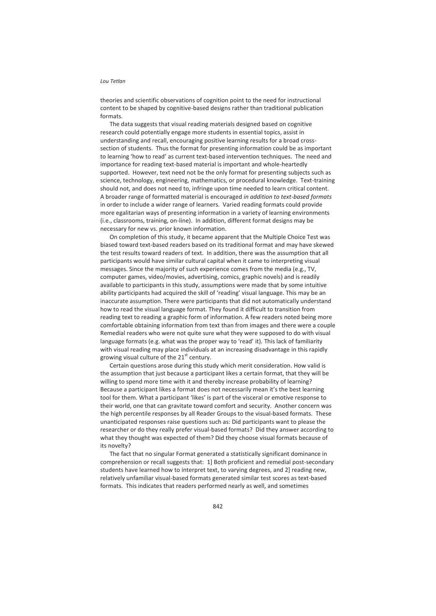theories and scientific observations of cognition point to the need for instructional content to be shaped by cognitive-based designs rather than traditional publication formats.

The data suggests that visual reading materials designed based on cognitive research could potentially engage more students in essential topics, assist in understanding and recall, encouraging positive learning results for a broad crosssection of students. Thus the format for presenting information could be as important to learning 'how to read' as current text-based intervention techniques. The need and importance for reading text-based material is important and whole-heartedly supported. However, text need not be the only format for presenting subjects such as science, technology, engineering, mathematics, or procedural knowledge. Text-training should not, and does not need to, infringe upon time needed to learn critical content. A broader range of formatted material is encouraged *in addition to text-based formats* in order to include a wider range of learners. Varied reading formats could provide more egalitarian ways of presenting information in a variety of learning environments (i.e., classrooms, training, on-line). In addition, different format designs may be necessary for new vs. prior known information.

On completion of this study, it became apparent that the Multiple Choice Test was biased toward text-based readers based on its traditional format and may have skewed the test results toward readers of text. In addition, there was the assumption that all participants would have similar cultural capital when it came to interpreting visual messages. Since the majority of such experience comes from the media (e.g., TV, computer games, video/movies, advertising, comics, graphic novels) and is readily available to participants in this study, assumptions were made that by some intuitive ability participants had acquired the skill of 'reading' visual language. This may be an inaccurate assumption. There were participants that did not automatically understand how to read the visual language format. They found it difficult to transition from reading text to reading a graphic form of information. A few readers noted being more comfortable obtaining information from text than from images and there were a couple Remedial readers who were not quite sure what they were supposed to do with visual language formats (e.g. what was the proper way to 'read' it). This lack of familiarity with visual reading may place individuals at an increasing disadvantage in this rapidly growing visual culture of the  $21<sup>st</sup>$  century.

Certain questions arose during this study which merit consideration. How valid is the assumption that just because a participant likes a certain format, that they will be willing to spend more time with it and thereby increase probability of learning? Because a participant likes a format does not necessarily mean it's the best learning tool for them. What a participant 'likes' is part of the visceral or emotive response to their world, one that can gravitate toward comfort and security. Another concern was the high percentile responses by all Reader Groups to the visual-based formats. These unanticipated responses raise questions such as: Did participants want to please the researcher or do they really prefer visual-based formats? Did they answer according to what they thought was expected of them? Did they choose visual formats because of its novelty?

The fact that no singular Format generated a statistically significant dominance in comprehension or recall suggests that: 1] Both proficient and remedial post-secondary students have learned how to interpret text, to varying degrees, and 2] reading new, relatively unfamiliar visual-based formats generated similar test scores as text-based formats. This indicates that readers performed nearly as well, and sometimes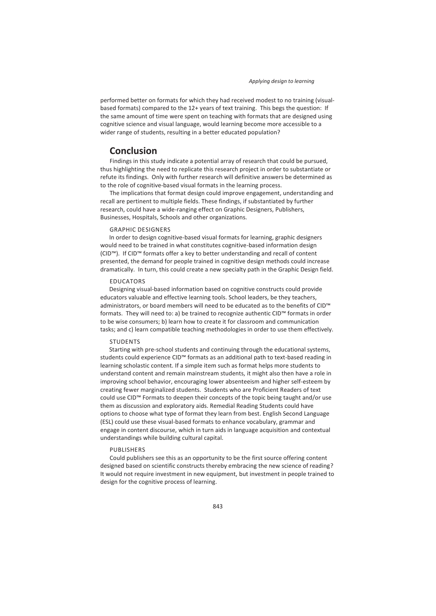performed better on formats for which they had received modest to no training (visualbased formats) compared to the 12+ years of text training. This begs the question: If the same amount of time were spent on teaching with formats that are designed using cognitive science and visual language, would learning become more accessible to a wider range of students, resulting in a better educated population?

## **Conclusion**

Findings in this study indicate a potential array of research that could be pursued, thus highlighting the need to replicate this research project in order to substantiate or refute its findings. Only with further research will definitive answers be determined as to the role of cognitive-based visual formats in the learning process.

The implications that format design could improve engagement, understanding and recall are pertinent to multiple fields. These findings, if substantiated by further research, could have a wide-ranging effect on Graphic Designers, Publishers, Businesses, Hospitals, Schools and other organizations.

#### GRAPHIC DESIGNERS

In order to design cognitive-based visual formats for learning, graphic designers would need to be trained in what constitutes cognitive-based information design (CID™). If CID™ formats offer a key to better understanding and recall of content presented, the demand for people trained in cognitive design methods could increase dramatically. In turn, this could create a new specialty path in the Graphic Design field.

### EDUCATORS

Designing visual-based information based on cognitive constructs could provide educators valuable and effective learning tools. School leaders, be they teachers, administrators, or board members will need to be educated as to the benefits of CID™ formats. They will need to: a) be trained to recognize authentic CID™ formats in order to be wise consumers; b) learn how to create it for classroom and communication tasks; and c) learn compatible teaching methodologies in order to use them effectively.

#### **STUDENTS**

Starting with pre-school students and continuing through the educational systems, students could experience CID™ formats as an additional path to text-based reading in learning scholastic content. If a simple item such as format helps more students to understand content and remain mainstream students, it might also then have a role in improving school behavior, encouraging lower absenteeism and higher self-esteem by creating fewer marginalized students. Students who are Proficient Readers of text could use CID™ Formats to deepen their concepts of the topic being taught and/or use them as discussion and exploratory aids. Remedial Reading Students could have options to choose what type of format they learn from best. English Second Language (ESL) could use these visual-based formats to enhance vocabulary, grammar and engage in content discourse, which in turn aids in language acquisition and contextual understandings while building cultural capital.

#### PUBLISHERS

Could publishers see this as an opportunity to be the first source offering content designed based on scientific constructs thereby embracing the new science of reading? It would not require investment in new equipment, but investment in people trained to design for the cognitive process of learning.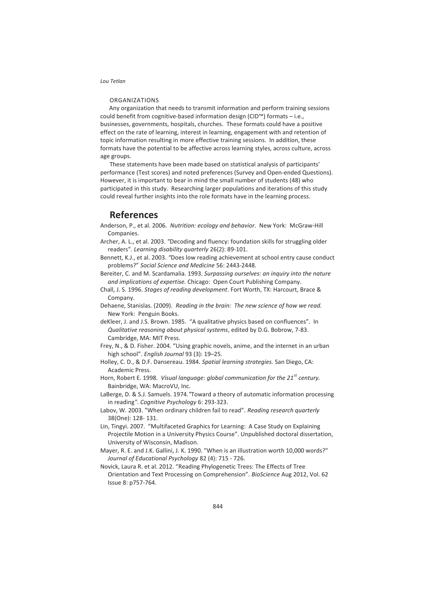#### ORGANIZATIONS

Any organization that needs to transmit information and perform training sessions could benefit from cognitive-based information design (CID™) formats – i.e., businesses, governments, hospitals, churches. These formats could have a positive effect on the rate of learning, interest in learning, engagement with and retention of topic information resulting in more effective training sessions. In addition, these formats have the potential to be affective across learning styles, across culture, across age groups.

These statements have been made based on statistical analysis of participants' performance (Test scores) and noted preferences (Survey and Open-ended Questions). However, it is important to bear in mind the small number of students (48) who participated in this study. Researching larger populations and iterations of this study could reveal further insights into the role formats have in the learning process.

# **References**

- Anderson, P., et al. 2006. *Nutrition: ecology and behavior*. New York: McGraw-Hill Companies.
- Archer, A. L., et al. 2003. *"*Decoding and fluency: foundation skills for struggling older readers"*. Learning disability quarterly* 26(2): 89-101.
- Bennett, K.J., et al. 2003. *"*Does low reading achievement at school entry cause conduct problems?" *Social Science and Medicine* 56: 2443-2448.
- Bereiter, C. and M. Scardamalia. 1993. *Surpassing ourselves: an inquiry into the nature and implications of expertise.* Chicago: Open Court Publishing Company.
- Chall, J. S. 1996. *Stages of reading development*. Fort Worth, TX: Harcourt, Brace & Company.
- Dehaene, Stanislas. (2009). *Reading in the brain: The new science of how we read.* New York: Penguin Books.
- deKleer, J. and J.S. Brown. 1985. "A qualitative physics based on confluences". In *Qualitative reasoning about physical systems*, edited by D.G. Bobrow, 7-83. Cambridge, MA: MIT Press.
- Frey, N., & D. Fisher. 2004. "Using graphic novels, anime, and the internet in an urban high school". *English Journal* 93 (3): 19–25.
- Holley, C. D., & D.F. Dansereau. 1984. *Spatial learning strategies.* San Diego, CA: Academic Press.
- Horn, Robert E. 1998. *Visual language: global communication for the 21st century.* Bainbridge, WA: MacroVU, Inc.
- LaBerge, D. & S.J. Samuels. 1974*."*Toward a theory of automatic information processing in reading*". Cognitive Psychology* 6: 293-323.
- Labov, W. 2003. "When ordinary children fail to read". *Reading research quarterly* 38(One): 128- 131.
- Lin, Tingyi. 2007. "Multifaceted Graphics for Learning: A Case Study on Explaining Projectile Motion in a University Physics Course". Unpublished doctoral dissertation, University of Wisconsin, Madison.
- Mayer, R. E. and J.K. Gallini, J. K. 1990. "When is an illustration worth 10,000 words?" *Journal of Educational Psychology* 82 (4): 715 - 726.
- Novick, Laura R. et al. 2012. "Reading Phylogenetic Trees: The Effects of Tree Orientation and Text Processing on Comprehension". *BioScience* Aug 2012, Vol. 62 Issue 8: p757-764.